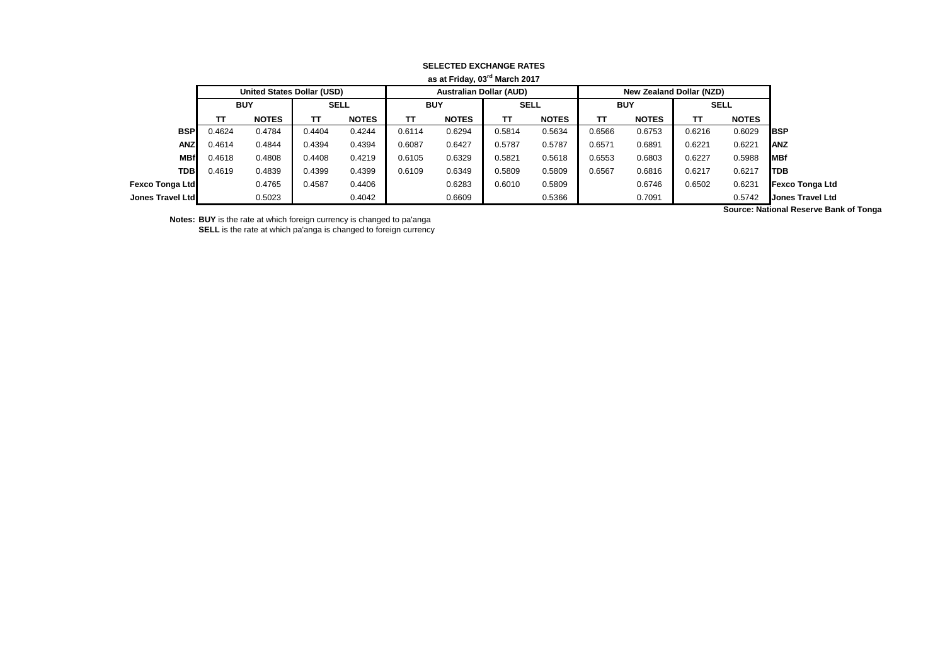| as at Friday, 03 <sup>rd</sup> March 2017 |            |                                   |             |              |            |                                |             |              |            |                          |             |                       |                         |
|-------------------------------------------|------------|-----------------------------------|-------------|--------------|------------|--------------------------------|-------------|--------------|------------|--------------------------|-------------|-----------------------|-------------------------|
|                                           |            | <b>United States Dollar (USD)</b> |             |              |            | <b>Australian Dollar (AUD)</b> |             |              |            | New Zealand Dollar (NZD) |             |                       |                         |
|                                           | <b>BUY</b> |                                   | <b>SELL</b> |              | <b>BUY</b> |                                | <b>SELL</b> |              | <b>BUY</b> |                          | <b>SELL</b> |                       |                         |
|                                           | π          | <b>NOTES</b>                      | тτ          | <b>NOTES</b> | TT.        | <b>NOTES</b>                   | TΤ          | <b>NOTES</b> | TΤ         | <b>NOTES</b>             | TΤ          | <b>NOTES</b>          |                         |
| <b>BSP</b>                                | 0.4624     | 0.4784                            | 0.4404      | 0.4244       | 0.6114     | 0.6294                         | 0.5814      | 0.5634       | 0.6566     | 0.6753                   | 0.6216      | 0.6029                | <b>IBSP</b>             |
| <b>ANZ</b>                                | 0.4614     | 0.4844                            | 0.4394      | 0.4394       | 0.6087     | 0.6427                         | 0.5787      | 0.5787       | 0.6571     | 0.6891                   | 0.6221      | 0.6221                | <b>JANZ</b>             |
| <b>MBf</b>                                | 0.4618     | 0.4808                            | 0.4408      | 0.4219       | 0.6105     | 0.6329                         | 0.5821      | 0.5618       | 0.6553     | 0.6803                   | 0.6227      | 0.5988                | <b>IMBf</b>             |
| <b>TDB</b>                                | 0.4619     | 0.4839                            | 0.4399      | 0.4399       | 0.6109     | 0.6349                         | 0.5809      | 0.5809       | 0.6567     | 0.6816                   | 0.6217      | 0.6217                | <b>ITDB</b>             |
| <b>Fexco Tonga Ltd</b>                    |            | 0.4765                            | 0.4587      | 0.4406       |            | 0.6283                         | 0.6010      | 0.5809       |            | 0.6746                   | 0.6502      | 0.6231                | <b>Fexco Tonga Ltd</b>  |
| Jones Travel Ltd                          |            | 0.5023                            |             | 0.4042       |            | 0.6609                         |             | 0.5366       |            | 0.7091                   |             | 0.5742<br>$\sim$<br>. | <b>Jones Travel Ltd</b> |

## **SELECTED EXCHANGE RATES**

**Notes: BUY** is the rate at which foreign currency is changed to pa'anga **SELL** is the rate at which pa'anga is changed to foreign currency **Source: National Reserve Bank of Tonga**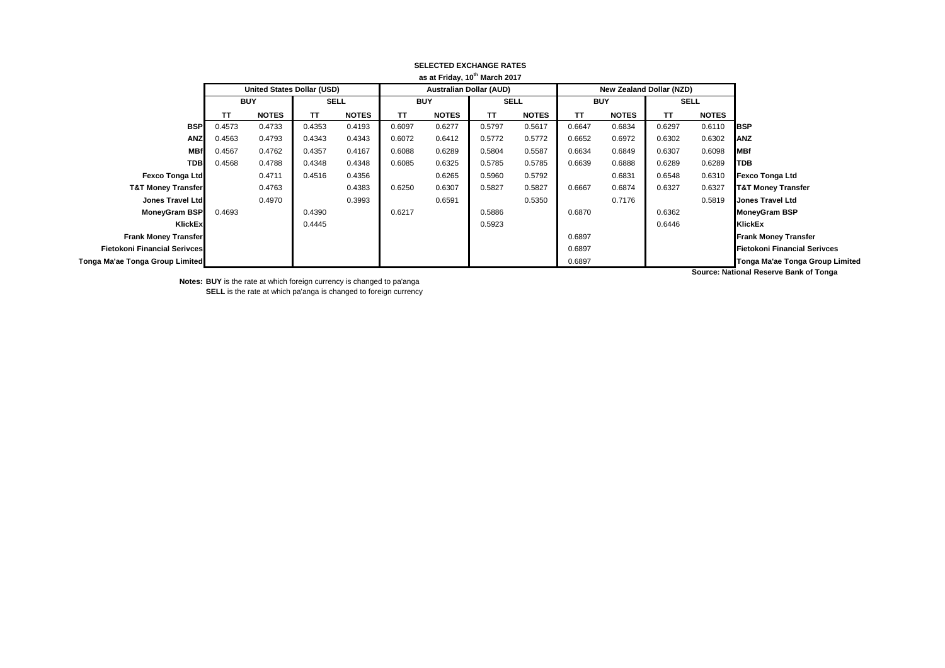| as at Friday, 10" March 2017        |                    |                            |             |              |            |              |                                |              |            |                          |             |              |                                        |
|-------------------------------------|--------------------|----------------------------|-------------|--------------|------------|--------------|--------------------------------|--------------|------------|--------------------------|-------------|--------------|----------------------------------------|
|                                     |                    | United States Dollar (USD) |             |              |            |              | <b>Australian Dollar (AUD)</b> |              |            | New Zealand Dollar (NZD) |             |              |                                        |
|                                     | <b>BUY</b>         |                            | <b>SELL</b> |              | <b>BUY</b> |              | <b>SELL</b>                    |              | <b>BUY</b> |                          | <b>SELL</b> |              |                                        |
|                                     | <b>NOTES</b><br>TΤ |                            | TΤ          | <b>NOTES</b> | TT         | <b>NOTES</b> | TΤ                             | <b>NOTES</b> | ΤT         | <b>NOTES</b>             | ΤT          | <b>NOTES</b> |                                        |
| <b>BSP</b>                          | 0.4573             | 0.4733                     | 0.4353      | 0.4193       | 0.6097     | 0.6277       | 0.5797                         | 0.5617       | 0.6647     | 0.6834                   | 0.6297      | 0.6110       | <b>IBSP</b>                            |
| <b>ANZ</b>                          | 0.4563             | 0.4793                     | 0.4343      | 0.4343       | 0.6072     | 0.6412       | 0.5772                         | 0.5772       | 0.6652     | 0.6972                   | 0.6302      | 0.6302       | <b>ANZ</b>                             |
| <b>MBf</b>                          | 0.4567             | 0.4762                     | 0.4357      | 0.4167       | 0.6088     | 0.6289       | 0.5804                         | 0.5587       | 0.6634     | 0.6849                   | 0.6307      | 0.6098       | <b>MBf</b>                             |
| <b>TDB</b>                          | 0.4568             | 0.4788                     | 0.4348      | 0.4348       | 0.6085     | 0.6325       | 0.5785                         | 0.5785       | 0.6639     | 0.6888                   | 0.6289      | 0.6289       | <b>TDB</b>                             |
| <b>Fexco Tonga Ltd</b>              |                    | 0.4711                     | 0.4516      | 0.4356       |            | 0.6265       | 0.5960                         | 0.5792       |            | 0.6831                   | 0.6548      | 0.6310       | <b>Fexco Tonga Ltd</b>                 |
| <b>T&amp;T Money Transfer</b>       |                    | 0.4763                     |             | 0.4383       | 0.6250     | 0.6307       | 0.5827                         | 0.5827       | 0.6667     | 0.6874                   | 0.6327      | 0.6327       | <b>T&amp;T Money Transfer</b>          |
| Jones Travel Ltd                    |                    | 0.4970                     |             | 0.3993       |            | 0.6591       |                                | 0.5350       |            | 0.7176                   |             | 0.5819       | <b>Jones Travel Ltd</b>                |
| MoneyGram BSP                       | 0.4693             |                            | 0.4390      |              | 0.6217     |              | 0.5886                         |              | 0.6870     |                          | 0.6362      |              | <b>MoneyGram BSP</b>                   |
| KlickEx                             |                    |                            | 0.4445      |              |            |              | 0.5923                         |              |            |                          | 0.6446      |              | KlickEx                                |
| <b>Frank Money Transfer</b>         |                    |                            |             |              |            |              |                                |              | 0.6897     |                          |             |              | <b>Frank Money Transfer</b>            |
| <b>Fietokoni Financial Serivces</b> |                    |                            |             |              |            |              |                                |              | 0.6897     |                          |             |              | <b>Fietokoni Financial Serivces</b>    |
| Tonga Ma'ae Tonga Group Limited     |                    |                            |             |              |            |              |                                |              | 0.6897     |                          |             |              | Tonga Ma'ae Tonga Group Limited        |
|                                     |                    |                            |             |              |            |              |                                |              |            |                          |             |              | Course: Notional Deserve Dank of Tengo |

#### **SELECTED EXCHANGE RATES as at Friday, 10th March 2017**

**Source: National Reserve Bank of Tonga**

**Notes: BUY** is the rate at which foreign currency is changed to pa'anga **SELL** is the rate at which pa'anga is changed to foreign currency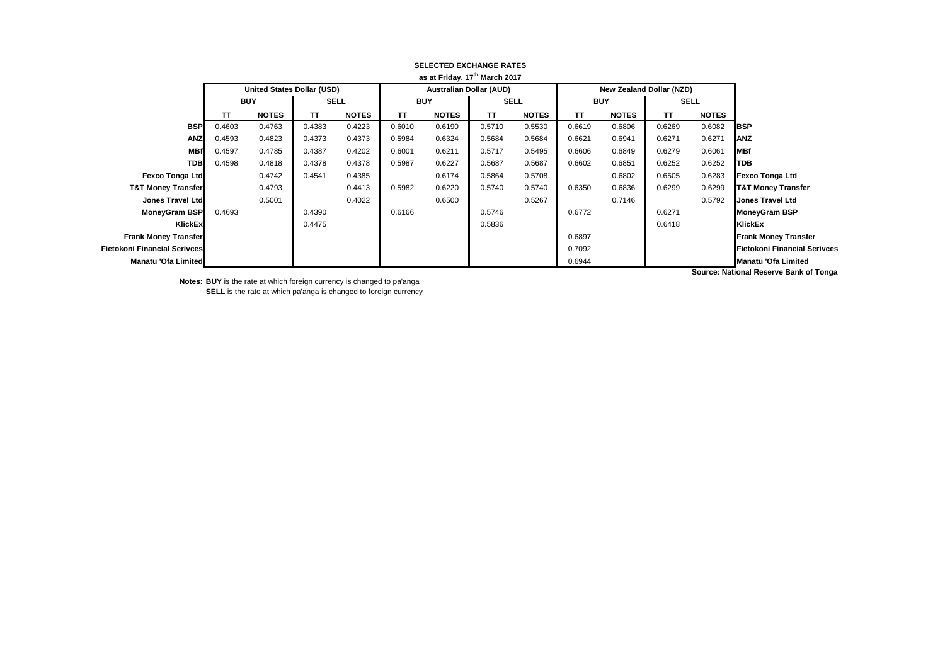|                                     | as at Friday, 17" March 2017 |                            |             |              |            |              |                                |              |            |                          |             |              |                                        |
|-------------------------------------|------------------------------|----------------------------|-------------|--------------|------------|--------------|--------------------------------|--------------|------------|--------------------------|-------------|--------------|----------------------------------------|
|                                     |                              | United States Dollar (USD) |             |              |            |              | <b>Australian Dollar (AUD)</b> |              |            | New Zealand Dollar (NZD) |             |              |                                        |
|                                     | <b>BUY</b>                   |                            | <b>SELL</b> |              | <b>BUY</b> |              | <b>SELL</b>                    |              | <b>BUY</b> |                          | <b>SELL</b> |              |                                        |
|                                     | ΤT                           | <b>NOTES</b>               | TΤ          | <b>NOTES</b> | TΤ         | <b>NOTES</b> | TΤ                             | <b>NOTES</b> | TΤ         | <b>NOTES</b>             | TΤ          | <b>NOTES</b> |                                        |
| <b>BSP</b>                          | 0.4603                       | 0.4763                     | 0.4383      | 0.4223       | 0.6010     | 0.6190       | 0.5710                         | 0.5530       | 0.6619     | 0.6806                   | 0.6269      | 0.6082       | <b>IBSP</b>                            |
| <b>ANZ</b>                          | 0.4593                       | 0.4823                     | 0.4373      | 0.4373       | 0.5984     | 0.6324       | 0.5684                         | 0.5684       | 0.6621     | 0.6941                   | 0.6271      | 0.6271       | ANZ                                    |
| <b>MBf</b>                          | 0.4597                       | 0.4785                     | 0.4387      | 0.4202       | 0.6001     | 0.6211       | 0.5717                         | 0.5495       | 0.6606     | 0.6849                   | 0.6279      | 0.6061       | <b>MBf</b>                             |
| <b>TDB</b>                          | 0.4598                       | 0.4818                     | 0.4378      | 0.4378       | 0.5987     | 0.6227       | 0.5687                         | 0.5687       | 0.6602     | 0.6851                   | 0.6252      | 0.6252       | TDB                                    |
| <b>Fexco Tonga Ltd</b>              |                              | 0.4742                     | 0.4541      | 0.4385       |            | 0.6174       | 0.5864                         | 0.5708       |            | 0.6802                   | 0.6505      | 0.6283       | <b>Fexco Tonga Ltd</b>                 |
| <b>T&amp;T Money Transfer</b>       |                              | 0.4793                     |             | 0.4413       | 0.5982     | 0.6220       | 0.5740                         | 0.5740       | 0.6350     | 0.6836                   | 0.6299      | 0.6299       | <b>T&amp;T Money Transfer</b>          |
| Jones Travel Ltd                    |                              | 0.5001                     |             | 0.4022       |            | 0.6500       |                                | 0.5267       |            | 0.7146                   |             | 0.5792       | <b>Jones Travel Ltd</b>                |
| <b>MoneyGram BSP</b>                | 0.4693                       |                            | 0.4390      |              | 0.6166     |              | 0.5746                         |              | 0.6772     |                          | 0.6271      |              | <b>MoneyGram BSP</b>                   |
| KlickEx                             |                              |                            | 0.4475      |              |            |              | 0.5836                         |              |            |                          | 0.6418      |              | <b>KlickEx</b>                         |
| <b>Frank Money Transfer</b>         |                              |                            |             |              |            |              |                                |              | 0.6897     |                          |             |              | <b>Frank Money Transfer</b>            |
| <b>Fietokoni Financial Serivces</b> |                              |                            |             |              |            |              |                                |              | 0.7092     |                          |             |              | <b>Fietokoni Financial Serivces</b>    |
| Manatu 'Ofa Limited                 |                              |                            |             |              |            |              |                                |              | 0.6944     |                          |             |              | <b>Manatu 'Ofa Limited</b>             |
|                                     |                              |                            |             |              |            |              |                                |              |            |                          |             |              | Source: National Reserve Bank of Tonga |

#### **SELECTED EXCHANGE RATES as at Friday, 17th March 2017**

**Notes: BUY** is the rate at which foreign currency is changed to pa'anga **SELL** is the rate at which pa'anga is changed to foreign currency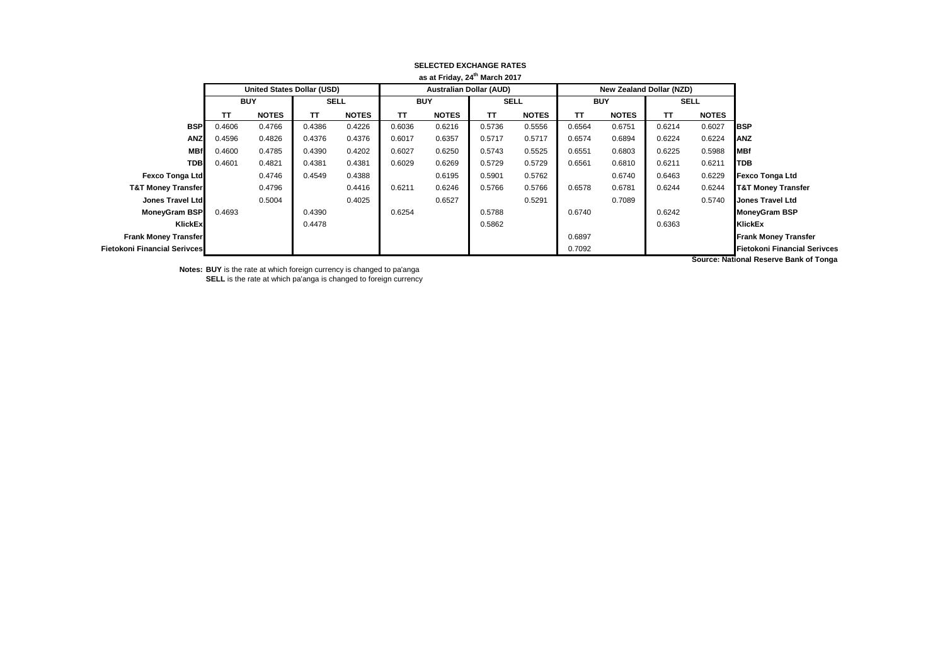|                               | as at Friday, 24th March 2017 |                                   |             |              |            |                                |        |              |            |                          |             |              |                                        |
|-------------------------------|-------------------------------|-----------------------------------|-------------|--------------|------------|--------------------------------|--------|--------------|------------|--------------------------|-------------|--------------|----------------------------------------|
|                               |                               | <b>United States Dollar (USD)</b> |             |              |            | <b>Australian Dollar (AUD)</b> |        |              |            | New Zealand Dollar (NZD) |             |              |                                        |
|                               | <b>BUY</b>                    |                                   | <b>SELL</b> |              | <b>BUY</b> |                                | SELL   |              | <b>BUY</b> |                          | <b>SELL</b> |              |                                        |
|                               | TΤ                            | <b>NOTES</b>                      | TΤ          | <b>NOTES</b> | TΤ         | <b>NOTES</b>                   | TΤ     | <b>NOTES</b> | ΤT         | <b>NOTES</b>             | ΤT          | <b>NOTES</b> |                                        |
| <b>BSP</b>                    | 0.4606                        | 0.4766                            | 0.4386      | 0.4226       | 0.6036     | 0.6216                         | 0.5736 | 0.5556       | 0.6564     | 0.6751                   | 0.6214      | 0.6027       | <b>BSP</b>                             |
| <b>ANZ</b>                    | 0.4596                        | 0.4826                            | 0.4376      | 0.4376       | 0.6017     | 0.6357                         | 0.5717 | 0.5717       | 0.6574     | 0.6894                   | 0.6224      | 0.6224       | <b>ANZ</b>                             |
| <b>MBf</b>                    | 0.4600                        | 0.4785                            | 0.4390      | 0.4202       | 0.6027     | 0.6250                         | 0.5743 | 0.5525       | 0.6551     | 0.6803                   | 0.6225      | 0.5988       | <b>MBf</b>                             |
| <b>TDB</b>                    | 0.4601                        | 0.4821                            | 0.4381      | 0.4381       | 0.6029     | 0.6269                         | 0.5729 | 0.5729       | 0.6561     | 0.6810                   | 0.6211      | 0.6211       | <b>TDB</b>                             |
| <b>Fexco Tonga Ltd</b>        |                               | 0.4746                            | 0.4549      | 0.4388       |            | 0.6195                         | 0.5901 | 0.5762       |            | 0.6740                   | 0.6463      | 0.6229       | <b>Fexco Tonga Ltd</b>                 |
| <b>T&amp;T Money Transfer</b> |                               | 0.4796                            |             | 0.4416       | 0.6211     | 0.6246                         | 0.5766 | 0.5766       | 0.6578     | 0.6781                   | 0.6244      | 0.6244       | <b>T&amp;T Money Transfer</b>          |
| <b>Jones Travel Ltd</b>       |                               | 0.5004                            |             | 0.4025       |            | 0.6527                         |        | 0.5291       |            | 0.7089                   |             | 0.5740       | <b>Jones Travel Ltd</b>                |
| <b>MoneyGram BSP</b>          | 0.4693                        |                                   | 0.4390      |              | 0.6254     |                                | 0.5788 |              | 0.6740     |                          | 0.6242      |              | <b>MoneyGram BSP</b>                   |
| KlickEx                       |                               |                                   | 0.4478      |              |            |                                | 0.5862 |              |            |                          | 0.6363      |              | <b>KlickEx</b>                         |
| <b>Frank Money Transfer</b>   |                               |                                   |             |              |            |                                |        |              | 0.6897     |                          |             |              | <b>Frank Money Transfer</b>            |
| Fietokoni Financial Serivces  |                               |                                   |             |              |            |                                |        |              | 0.7092     |                          |             |              | <b>Fietokoni Financial Serivces</b>    |
|                               |                               |                                   |             |              |            |                                |        |              |            |                          |             |              | Course: Notional Deserve Bank of Tengo |

# **SELECTED EXCHANGE RATES**

**Notes: BUY** is the rate at which foreign currency is changed to pa'anga **SELL** is the rate at which pa'anga is changed to foreign currency **Source: National Reserve Bank of Tonga**